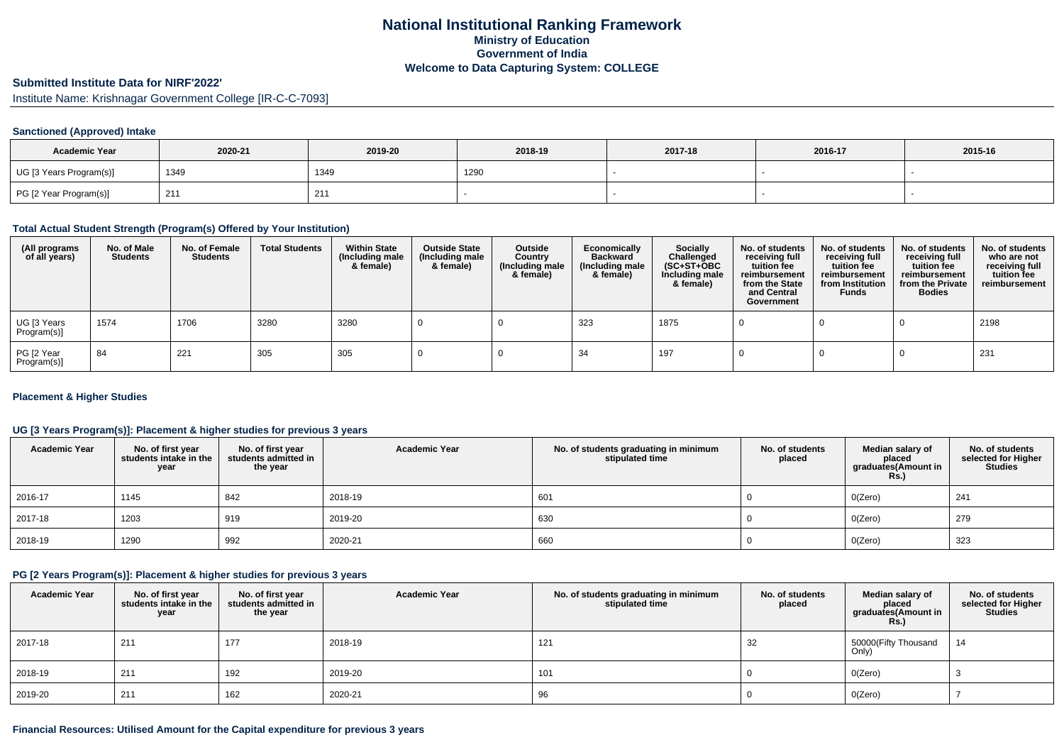# **National Institutional Ranking FrameworkMinistry of Education Government of IndiaWelcome to Data Capturing System: COLLEGE**

# **Submitted Institute Data for NIRF'2022'**

Institute Name: Krishnagar Government College [IR-C-C-7093]

### **Sanctioned (Approved) Intake**

| <b>Academic Year</b>    | 2020-21 | 2019-20 | 2018-19 | 2017-18 | 2016-17 | 2015-16 |
|-------------------------|---------|---------|---------|---------|---------|---------|
| UG [3 Years Program(s)] | 1349    | 1349    | 1290    |         |         |         |
| PG [2 Year Program(s)]  | 21'     | 211     |         |         |         |         |

#### **Total Actual Student Strength (Program(s) Offered by Your Institution)**

| (All programs<br>of all years) | No. of Male<br><b>Students</b> | No. of Female<br><b>Students</b> | <b>Total Students</b> | <b>Within State</b><br>(Including male<br>& female) | <b>Outside State</b><br>(Including male<br>& female) | Outside<br>Country<br>(Including male<br>& female) | Economically<br><b>Backward</b><br>(Including male<br>& female) | <b>Socially</b><br>Challenged<br>$(SC+ST+OBC)$<br>Including male<br>& female) | No. of students<br>receiving full<br>tuition fee<br>reimbursement<br>from the State<br>and Central<br>Government | No. of students<br>receiving full<br>tuition fee<br>reimbursement<br>from Institution<br><b>Funds</b> | No. of students<br>receiving full<br>tuition fee<br>reimbursement<br>from the Private<br><b>Bodies</b> | No. of students<br>who are not<br>receiving full<br>tuition fee<br>reimbursement |
|--------------------------------|--------------------------------|----------------------------------|-----------------------|-----------------------------------------------------|------------------------------------------------------|----------------------------------------------------|-----------------------------------------------------------------|-------------------------------------------------------------------------------|------------------------------------------------------------------------------------------------------------------|-------------------------------------------------------------------------------------------------------|--------------------------------------------------------------------------------------------------------|----------------------------------------------------------------------------------|
| UG [3 Years<br>Program(s)]     | 1574                           | 1706                             | 3280                  | 3280                                                |                                                      |                                                    | 323                                                             | 1875                                                                          |                                                                                                                  |                                                                                                       |                                                                                                        | 2198                                                                             |
| PG [2 Year<br>Program(s)]      | 84                             | 221                              | 305                   | 305                                                 |                                                      |                                                    | 34                                                              | 197                                                                           |                                                                                                                  |                                                                                                       |                                                                                                        | 231                                                                              |

### **Placement & Higher Studies**

### **UG [3 Years Program(s)]: Placement & higher studies for previous 3 years**

| <b>Academic Year</b> | No. of first year<br>students intake in the<br>year | No. of first year<br>students admitted in<br>the year | <b>Academic Year</b> | No. of students graduating in minimum<br>stipulated time | No. of students<br>placed | Median salary of<br>placed<br>graduates(Amount in<br><b>Rs.)</b> | No. of students<br>selected for Higher<br><b>Studies</b> |
|----------------------|-----------------------------------------------------|-------------------------------------------------------|----------------------|----------------------------------------------------------|---------------------------|------------------------------------------------------------------|----------------------------------------------------------|
| 2016-17              | 1145                                                | 842                                                   | 2018-19              | 601                                                      |                           | O(Zero)                                                          | 241                                                      |
| 2017-18              | 1203                                                | 919                                                   | 2019-20              | 630                                                      |                           | O(Zero)                                                          | 279                                                      |
| 2018-19              | 1290                                                | 992                                                   | 2020-21              | 660                                                      |                           | O(Zero)                                                          | 323                                                      |

#### **PG [2 Years Program(s)]: Placement & higher studies for previous 3 years**

| <b>Academic Year</b> | No. of first year<br>students intake in the<br>year | No. of first year<br>students admitted in<br>the year | <b>Academic Year</b> | No. of students graduating in minimum<br>stipulated time | No. of students<br>placed | Median salary of<br>placed<br>graduates(Amount in<br><b>Rs.)</b> | No. of students<br>selected for Higher<br><b>Studies</b> |
|----------------------|-----------------------------------------------------|-------------------------------------------------------|----------------------|----------------------------------------------------------|---------------------------|------------------------------------------------------------------|----------------------------------------------------------|
| 2017-18              | 211                                                 | 177                                                   | 2018-19              | 121                                                      | 32                        | 50000(Fifty Thousand<br>Only)                                    | 14                                                       |
| 2018-19              | 211                                                 | 192                                                   | 2019-20              | 101                                                      |                           | O(Zero)                                                          |                                                          |
| 2019-20              | 211                                                 | 162                                                   | 2020-21              | 96                                                       |                           | O(Zero)                                                          |                                                          |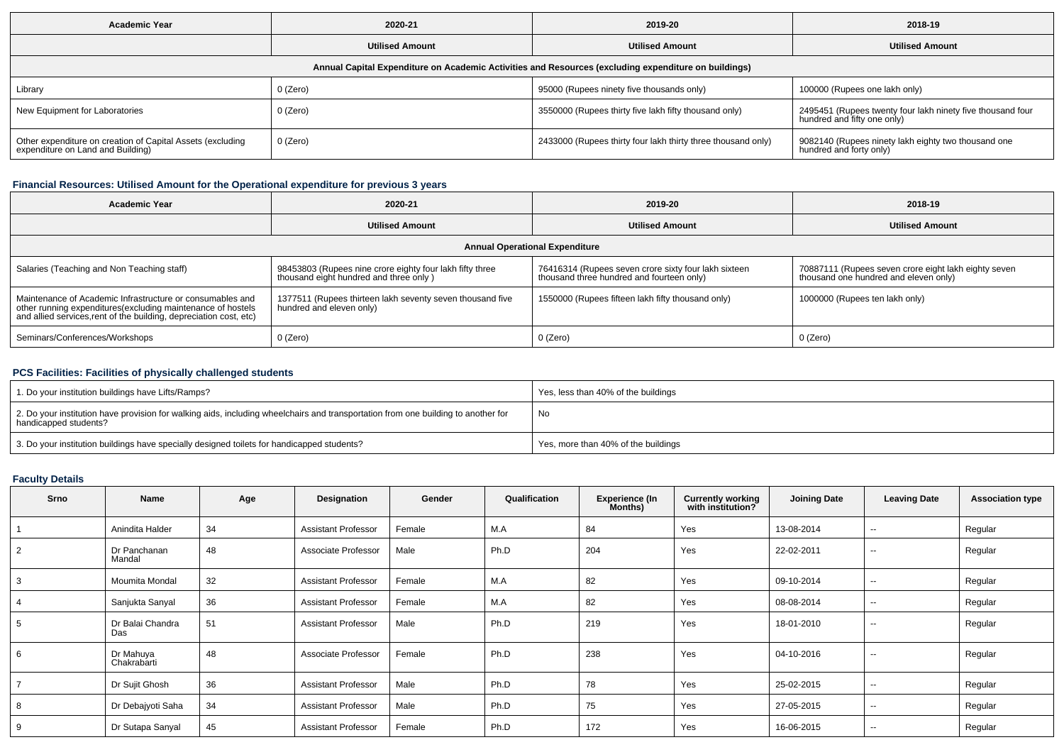| <b>Academic Year</b>                                                                                 | 2020-21                |                                                              | 2018-19                                                                                   |  |  |  |  |  |  |  |  |
|------------------------------------------------------------------------------------------------------|------------------------|--------------------------------------------------------------|-------------------------------------------------------------------------------------------|--|--|--|--|--|--|--|--|
|                                                                                                      | <b>Utilised Amount</b> | <b>Utilised Amount</b>                                       | <b>Utilised Amount</b>                                                                    |  |  |  |  |  |  |  |  |
| Annual Capital Expenditure on Academic Activities and Resources (excluding expenditure on buildings) |                        |                                                              |                                                                                           |  |  |  |  |  |  |  |  |
| Library                                                                                              | 0 (Zero)               | 95000 (Rupees ninety five thousands only)                    | 100000 (Rupees one lakh only)                                                             |  |  |  |  |  |  |  |  |
| New Equipment for Laboratories                                                                       | 0 (Zero)               | 3550000 (Rupees thirty five lakh fifty thousand only)        | 2495451 (Rupees twenty four lakh ninety five thousand four<br>hundred and fifty one only) |  |  |  |  |  |  |  |  |
| Other expenditure on creation of Capital Assets (excluding<br>expenditure on Land and Building)      | 0 (Zero)               | 2433000 (Rupees thirty four lakh thirty three thousand only) | 9082140 (Rupees ninety lakh eighty two thousand one<br>hundred and forty only)            |  |  |  |  |  |  |  |  |

# **Financial Resources: Utilised Amount for the Operational expenditure for previous 3 years**

| Academic Year                                                                                                                                                                                   | 2020-21                                                                                            | 2019-20                                                                                           | 2018-19                                                                                       |  |  |  |  |  |  |  |
|-------------------------------------------------------------------------------------------------------------------------------------------------------------------------------------------------|----------------------------------------------------------------------------------------------------|---------------------------------------------------------------------------------------------------|-----------------------------------------------------------------------------------------------|--|--|--|--|--|--|--|
|                                                                                                                                                                                                 | <b>Utilised Amount</b>                                                                             | <b>Utilised Amount</b>                                                                            | <b>Utilised Amount</b>                                                                        |  |  |  |  |  |  |  |
| <b>Annual Operational Expenditure</b>                                                                                                                                                           |                                                                                                    |                                                                                                   |                                                                                               |  |  |  |  |  |  |  |
| Salaries (Teaching and Non Teaching staff)                                                                                                                                                      | 98453803 (Rupees nine crore eighty four lakh fifty three<br>thousand eight hundred and three only) | 76416314 (Rupees seven crore sixty four lakh sixteen<br>thousand three hundred and fourteen only) | 70887111 (Rupees seven crore eight lakh eighty seven<br>thousand one hundred and eleven only) |  |  |  |  |  |  |  |
| Maintenance of Academic Infrastructure or consumables and<br>other running expenditures (excluding maintenance of hostels<br>and allied services, rent of the building, depreciation cost, etc) | 1377511 (Rupees thirteen lakh seventy seven thousand five<br>hundred and eleven only)              | 1550000 (Rupees fifteen lakh fifty thousand only)                                                 | 1000000 (Rupees ten lakh only)                                                                |  |  |  |  |  |  |  |
| Seminars/Conferences/Workshops                                                                                                                                                                  | $0$ (Zero)                                                                                         | $0$ (Zero)                                                                                        | 0 (Zero)                                                                                      |  |  |  |  |  |  |  |

### **PCS Facilities: Facilities of physically challenged students**

| 1. Do your institution buildings have Lifts/Ramps?                                                                                                         | Yes, less than 40% of the buildings |
|------------------------------------------------------------------------------------------------------------------------------------------------------------|-------------------------------------|
| 2. Do your institution have provision for walking aids, including wheelchairs and transportation from one building to another for<br>handicapped students? | No                                  |
| 3. Do your institution buildings have specially designed toilets for handicapped students?                                                                 | Yes, more than 40% of the buildings |

# **Faculty Details**

| <b>Srno</b> | Name                     | Age | Designation                | Gender | Qualification | <b>Experience (In</b><br>Months) | <b>Currently working</b><br>with institution? | <b>Joining Date</b> | <b>Leaving Date</b> | <b>Association type</b> |
|-------------|--------------------------|-----|----------------------------|--------|---------------|----------------------------------|-----------------------------------------------|---------------------|---------------------|-------------------------|
|             | Anindita Halder          | 34  | <b>Assistant Professor</b> | Female | M.A           | 84                               | Yes                                           | 13-08-2014          | $\sim$              | Regular                 |
|             | Dr Panchanan<br>Mandal   | 48  | Associate Professor        | Male   | Ph.D          | 204                              | Yes                                           | 22-02-2011          | $\sim$              | Regular                 |
|             | Moumita Mondal           | 32  | <b>Assistant Professor</b> | Female | M.A           | 82                               | Yes                                           | 09-10-2014          | $\sim$              | Regular                 |
|             | Sanjukta Sanyal          | 36  | <b>Assistant Professor</b> | Female | M.A           | 82                               | Yes                                           | 08-08-2014          | $\sim$              | Regular                 |
|             | Dr Balai Chandra<br>Das  | 51  | <b>Assistant Professor</b> | Male   | Ph.D          | 219                              | Yes                                           | 18-01-2010          | $\sim$              | Regular                 |
| 6           | Dr Mahuya<br>Chakrabarti | 48  | Associate Professor        | Female | Ph.D          | 238                              | Yes                                           | 04-10-2016          | $\sim$              | Regular                 |
|             | Dr Sujit Ghosh           | 36  | <b>Assistant Professor</b> | Male   | Ph.D          | 78                               | Yes                                           | 25-02-2015          | $\sim$              | Regular                 |
| 8           | Dr Debajyoti Saha        | 34  | <b>Assistant Professor</b> | Male   | Ph.D          | 75                               | Yes                                           | 27-05-2015          | $\sim$              | Regular                 |
| 9           | Dr Sutapa Sanyal         | 45  | <b>Assistant Professor</b> | Female | Ph.D          | 172                              | Yes                                           | 16-06-2015          | $\sim$              | Regular                 |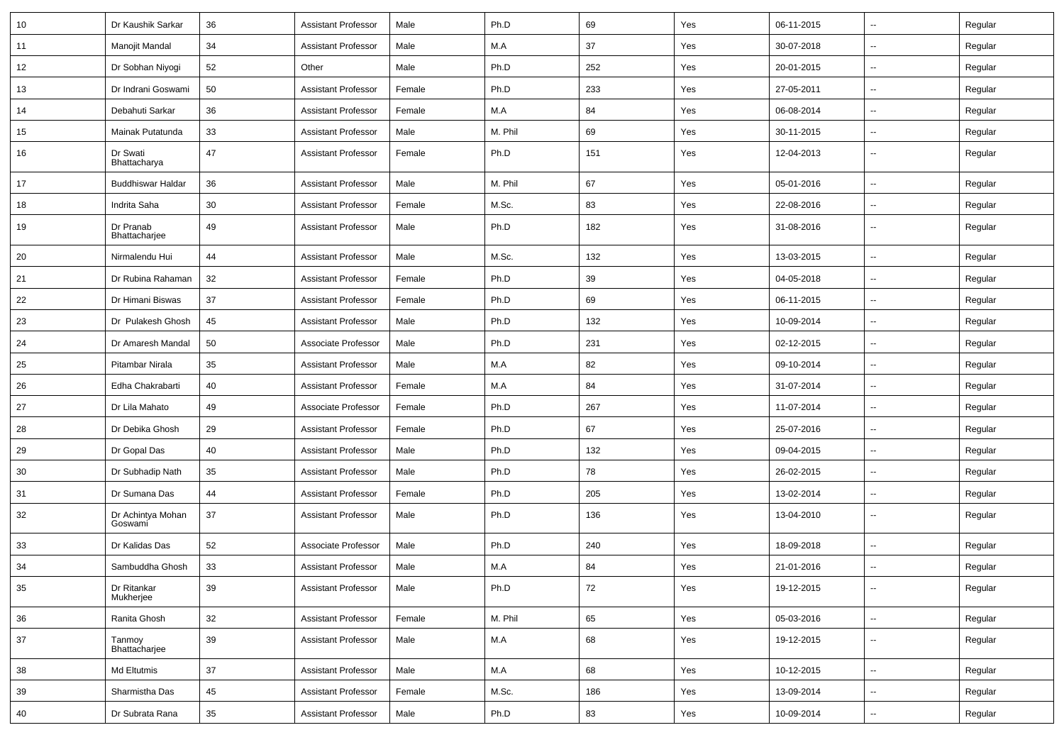| 10 | Dr Kaushik Sarkar            | 36     | <b>Assistant Professor</b> | Male   | Ph.D    | 69  | Yes | 06-11-2015 | $\overline{\phantom{a}}$ | Regular |
|----|------------------------------|--------|----------------------------|--------|---------|-----|-----|------------|--------------------------|---------|
| 11 | Manojit Mandal               | 34     | <b>Assistant Professor</b> | Male   | M.A     | 37  | Yes | 30-07-2018 | $\overline{\phantom{a}}$ | Regular |
| 12 | Dr Sobhan Niyogi             | 52     | Other                      | Male   | Ph.D    | 252 | Yes | 20-01-2015 | --                       | Regular |
| 13 | Dr Indrani Goswami           | 50     | <b>Assistant Professor</b> | Female | Ph.D    | 233 | Yes | 27-05-2011 | -−                       | Regular |
| 14 | Debahuti Sarkar              | 36     | <b>Assistant Professor</b> | Female | M.A     | 84  | Yes | 06-08-2014 | $\overline{\phantom{a}}$ | Regular |
| 15 | Mainak Putatunda             | 33     | <b>Assistant Professor</b> | Male   | M. Phil | 69  | Yes | 30-11-2015 | $\overline{\phantom{a}}$ | Regular |
| 16 | Dr Swati<br>Bhattacharya     | 47     | <b>Assistant Professor</b> | Female | Ph.D    | 151 | Yes | 12-04-2013 | ⊷.                       | Regular |
| 17 | <b>Buddhiswar Haldar</b>     | 36     | <b>Assistant Professor</b> | Male   | M. Phil | 67  | Yes | 05-01-2016 | -−                       | Regular |
| 18 | Indrita Saha                 | 30     | Assistant Professor        | Female | M.Sc.   | 83  | Yes | 22-08-2016 | $\sim$                   | Regular |
| 19 | Dr Pranab<br>Bhattacharjee   | 49     | <b>Assistant Professor</b> | Male   | Ph.D    | 182 | Yes | 31-08-2016 | $\overline{\phantom{a}}$ | Regular |
| 20 | Nirmalendu Hui               | 44     | <b>Assistant Professor</b> | Male   | M.Sc.   | 132 | Yes | 13-03-2015 | --                       | Regular |
| 21 | Dr Rubina Rahaman            | 32     | <b>Assistant Professor</b> | Female | Ph.D    | 39  | Yes | 04-05-2018 | -−                       | Regular |
| 22 | Dr Himani Biswas             | 37     | <b>Assistant Professor</b> | Female | Ph.D    | 69  | Yes | 06-11-2015 | $\overline{\phantom{a}}$ | Regular |
| 23 | Dr Pulakesh Ghosh            | 45     | <b>Assistant Professor</b> | Male   | Ph.D    | 132 | Yes | 10-09-2014 | Ξ.                       | Regular |
| 24 | Dr Amaresh Mandal            | 50     | Associate Professor        | Male   | Ph.D    | 231 | Yes | 02-12-2015 | $\sim$                   | Regular |
| 25 | Pitambar Nirala              | 35     | <b>Assistant Professor</b> | Male   | M.A     | 82  | Yes | 09-10-2014 | ⊷.                       | Regular |
| 26 | Edha Chakrabarti             | 40     | <b>Assistant Professor</b> | Female | M.A     | 84  | Yes | 31-07-2014 | --                       | Regular |
| 27 | Dr Lila Mahato               | 49     | Associate Professor        | Female | Ph.D    | 267 | Yes | 11-07-2014 | -−                       | Regular |
| 28 | Dr Debika Ghosh              | 29     | <b>Assistant Professor</b> | Female | Ph.D    | 67  | Yes | 25-07-2016 | -−                       | Regular |
| 29 | Dr Gopal Das                 | 40     | <b>Assistant Professor</b> | Male   | Ph.D    | 132 | Yes | 09-04-2015 |                          | Regular |
| 30 | Dr Subhadip Nath             | 35     | <b>Assistant Professor</b> | Male   | Ph.D    | 78  | Yes | 26-02-2015 | $\sim$                   | Regular |
| 31 | Dr Sumana Das                | 44     | <b>Assistant Professor</b> | Female | Ph.D    | 205 | Yes | 13-02-2014 | ⊷.                       | Regular |
| 32 | Dr Achintya Mohan<br>Goswami | 37     | <b>Assistant Professor</b> | Male   | Ph.D    | 136 | Yes | 13-04-2010 | $\sim$                   | Regular |
| 33 | Dr Kalidas Das               | 52     | Associate Professor        | Male   | Ph.D    | 240 | Yes | 18-09-2018 | -−                       | Regular |
| 34 | Sambuddha Ghosh              | 33     | <b>Assistant Professor</b> | Male   | M.A     | 84  | Yes | 21-01-2016 | --                       | Regular |
| 35 | Dr Ritankar<br>Mukherjee     | 39     | <b>Assistant Professor</b> | Male   | Ph.D    | 72  | Yes | 19-12-2015 | $\overline{\phantom{a}}$ | Regular |
| 36 | Ranita Ghosh                 | 32     | <b>Assistant Professor</b> | Female | M. Phil | 65  | Yes | 05-03-2016 | $\overline{\phantom{a}}$ | Regular |
| 37 | Tanmoy<br>Bhattacharjee      | 39     | <b>Assistant Professor</b> | Male   | M.A     | 68  | Yes | 19-12-2015 | ш,                       | Regular |
| 38 | Md Eltutmis                  | 37     | <b>Assistant Professor</b> | Male   | M.A     | 68  | Yes | 10-12-2015 | Ξ.                       | Regular |
| 39 | Sharmistha Das               | 45     | <b>Assistant Professor</b> | Female | M.Sc.   | 186 | Yes | 13-09-2014 | $\sim$                   | Regular |
| 40 | Dr Subrata Rana              | $35\,$ | <b>Assistant Professor</b> | Male   | Ph.D    | 83  | Yes | 10-09-2014 | н,                       | Regular |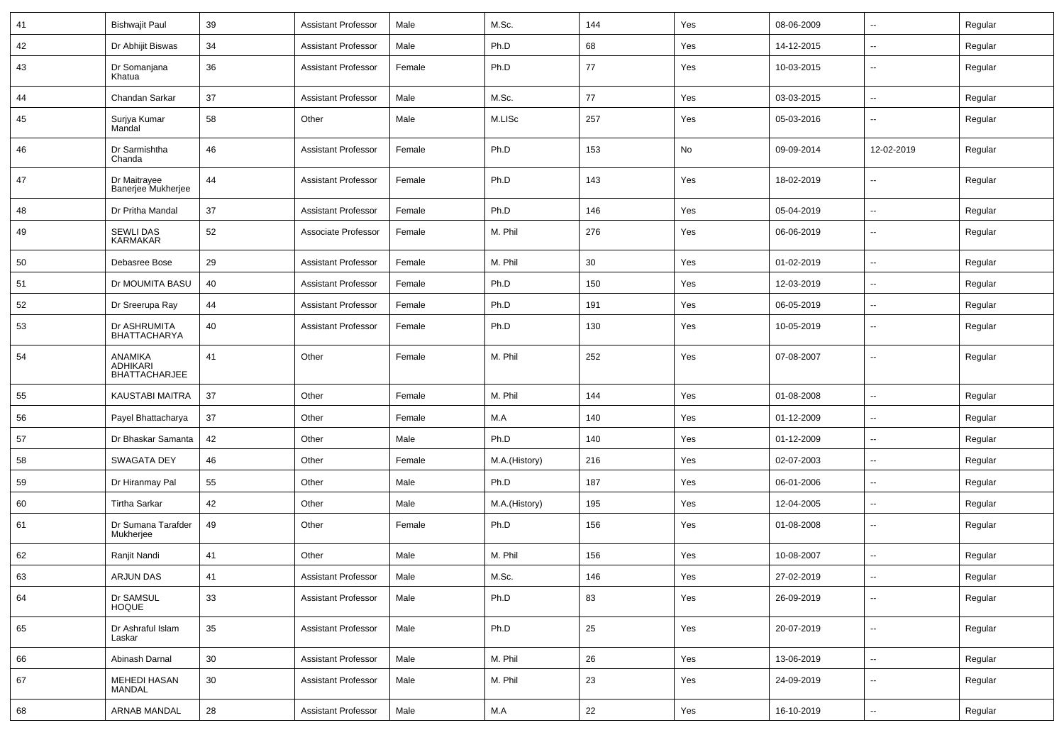| 41 | <b>Bishwajit Paul</b>                       | 39 | <b>Assistant Professor</b> | Male   | M.Sc.         | 144 | Yes | 08-06-2009 | --                       | Regular |
|----|---------------------------------------------|----|----------------------------|--------|---------------|-----|-----|------------|--------------------------|---------|
| 42 | Dr Abhijit Biswas                           | 34 | <b>Assistant Professor</b> | Male   | Ph.D          | 68  | Yes | 14-12-2015 | -−                       | Regular |
| 43 | Dr Somanjana<br>Khatua                      | 36 | <b>Assistant Professor</b> | Female | Ph.D          | 77  | Yes | 10-03-2015 | $\overline{\phantom{a}}$ | Regular |
| 44 | Chandan Sarkar                              | 37 | <b>Assistant Professor</b> | Male   | M.Sc.         | 77  | Yes | 03-03-2015 | --                       | Regular |
| 45 | Surjya Kumar<br>Mandal                      | 58 | Other                      | Male   | M.LISc        | 257 | Yes | 05-03-2016 |                          | Regular |
| 46 | Dr Sarmishtha<br>Chanda                     | 46 | <b>Assistant Professor</b> | Female | Ph.D          | 153 | No  | 09-09-2014 | 12-02-2019               | Regular |
| 47 | Dr Maitrayee<br>Banerjee Mukherjee          | 44 | <b>Assistant Professor</b> | Female | Ph.D          | 143 | Yes | 18-02-2019 |                          | Regular |
| 48 | Dr Pritha Mandal                            | 37 | <b>Assistant Professor</b> | Female | Ph.D          | 146 | Yes | 05-04-2019 | --                       | Regular |
| 49 | <b>SEWLI DAS</b><br><b>KARMAKAR</b>         | 52 | Associate Professor        | Female | M. Phil       | 276 | Yes | 06-06-2019 | $\overline{\phantom{a}}$ | Regular |
| 50 | Debasree Bose                               | 29 | <b>Assistant Professor</b> | Female | M. Phil       | 30  | Yes | 01-02-2019 | $\overline{\phantom{a}}$ | Regular |
| 51 | Dr MOUMITA BASU                             | 40 | <b>Assistant Professor</b> | Female | Ph.D          | 150 | Yes | 12-03-2019 | ⊷.                       | Regular |
| 52 | Dr Sreerupa Ray                             | 44 | <b>Assistant Professor</b> | Female | Ph.D          | 191 | Yes | 06-05-2019 | -−                       | Regular |
| 53 | Dr ASHRUMITA<br><b>BHATTACHARYA</b>         | 40 | <b>Assistant Professor</b> | Female | Ph.D          | 130 | Yes | 10-05-2019 | --                       | Regular |
| 54 | ANAMIKA<br>ADHIKARI<br><b>BHATTACHARJEE</b> | 41 | Other                      | Female | M. Phil       | 252 | Yes | 07-08-2007 | $\overline{\phantom{a}}$ | Regular |
| 55 | <b>KAUSTABI MAITRA</b>                      | 37 | Other                      | Female | M. Phil       | 144 | Yes | 01-08-2008 | --                       | Regular |
| 56 | Payel Bhattacharya                          | 37 | Other                      | Female | M.A           | 140 | Yes | 01-12-2009 | ⊷.                       | Regular |
| 57 | Dr Bhaskar Samanta                          | 42 | Other                      | Male   | Ph.D          | 140 | Yes | 01-12-2009 | --                       | Regular |
| 58 | <b>SWAGATA DEY</b>                          | 46 | Other                      | Female | M.A.(History) | 216 | Yes | 02-07-2003 | --                       | Regular |
| 59 | Dr Hiranmay Pal                             | 55 | Other                      | Male   | Ph.D          | 187 | Yes | 06-01-2006 | $\overline{\phantom{a}}$ | Regular |
| 60 | <b>Tirtha Sarkar</b>                        | 42 | Other                      | Male   | M.A.(History) | 195 | Yes | 12-04-2005 | $\overline{\phantom{a}}$ | Regular |
| 61 | Dr Sumana Tarafder<br>Mukherjee             | 49 | Other                      | Female | Ph.D          | 156 | Yes | 01-08-2008 | --                       | Regular |
| 62 | Ranjit Nandi                                | 41 | Other                      | Male   | M. Phil       | 156 | Yes | 10-08-2007 | -−                       | Regular |
| 63 | <b>ARJUN DAS</b>                            | 41 | <b>Assistant Professor</b> | Male   | M.Sc.         | 146 | Yes | 27-02-2019 | $\overline{\phantom{a}}$ | Regular |
| 64 | Dr SAMSUL<br><b>HOQUE</b>                   | 33 | <b>Assistant Professor</b> | Male   | Ph.D          | 83  | Yes | 26-09-2019 | $\overline{\phantom{a}}$ | Regular |
| 65 | Dr Ashraful Islam<br>Laskar                 | 35 | <b>Assistant Professor</b> | Male   | Ph.D          | 25  | Yes | 20-07-2019 | $\sim$                   | Regular |
| 66 | Abinash Darnal                              | 30 | <b>Assistant Professor</b> | Male   | M. Phil       | 26  | Yes | 13-06-2019 | ⊷.                       | Regular |
| 67 | <b>MEHEDI HASAN</b><br>MANDAL               | 30 | <b>Assistant Professor</b> | Male   | M. Phil       | 23  | Yes | 24-09-2019 | --                       | Regular |
| 68 | <b>ARNAB MANDAL</b>                         | 28 | <b>Assistant Professor</b> | Male   | M.A           | 22  | Yes | 16-10-2019 | $\sim$                   | Regular |